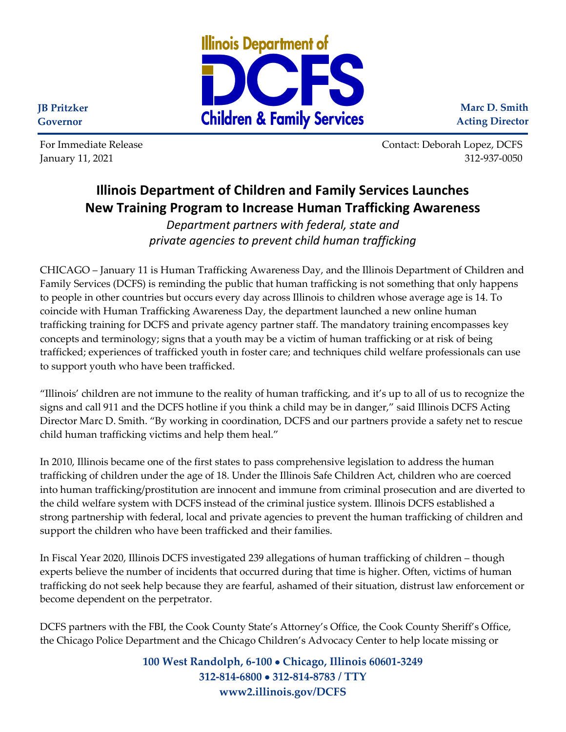

**Marc D. Smith Acting Director**

**JB Pritzker Governor**

For Immediate Release Contact: Deborah Lopez, DCFS January 11, 2021 312-937-0050

## **Illinois Department of Children and Family Services Launches New Training Program to Increase Human Trafficking Awareness**

*Department partners with federal, state and private agencies to prevent child human trafficking*

CHICAGO – January 11 is Human Trafficking Awareness Day, and the Illinois Department of Children and Family Services (DCFS) is reminding the public that human trafficking is not something that only happens to people in other countries but occurs every day across Illinois to children whose average age is 14. To coincide with Human Trafficking Awareness Day, the department launched a new online human trafficking training for DCFS and private agency partner staff. The mandatory training encompasses key concepts and terminology; signs that a youth may be a victim of human trafficking or at risk of being trafficked; experiences of trafficked youth in foster care; and techniques child welfare professionals can use to support youth who have been trafficked.

"Illinois' children are not immune to the reality of human trafficking, and it's up to all of us to recognize the signs and call 911 and the DCFS hotline if you think a child may be in danger," said Illinois DCFS Acting Director Marc D. Smith. "By working in coordination, DCFS and our partners provide a safety net to rescue child human trafficking victims and help them heal."

In 2010, Illinois became one of the first states to pass comprehensive legislation to address the human trafficking of children under the age of 18. Under the Illinois Safe Children Act, children who are coerced into human trafficking/prostitution are innocent and immune from criminal prosecution and are diverted to the child welfare system with DCFS instead of the criminal justice system. Illinois DCFS established a strong partnership with federal, local and private agencies to prevent the human trafficking of children and support the children who have been trafficked and their families.

In Fiscal Year 2020, Illinois DCFS investigated 239 allegations of human trafficking of children – though experts believe the number of incidents that occurred during that time is higher. Often, victims of human trafficking do not seek help because they are fearful, ashamed of their situation, distrust law enforcement or become dependent on the perpetrator.

DCFS partners with the FBI, the Cook County State's Attorney's Office, the Cook County Sheriff's Office, the Chicago Police Department and the Chicago Children's Advocacy Center to help locate missing or

> **100 West Randolph, 6-100** • **Chicago, Illinois 60601-3249 312-814-6800** • **312-814-8783 / TTY www2.illinois.gov/DCFS**